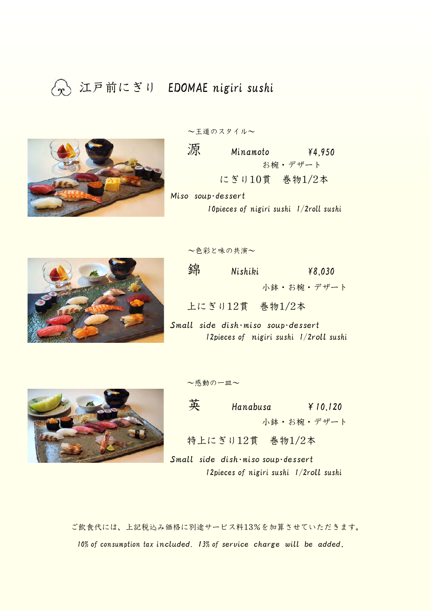## 江戸前にぎり EDOMAE nigiri sushi



~王道のスタイル~

源  $Minamoto$   $*4,950$ お椀・デザート にぎり10貫 巻物1/2本 Miso soup・dessert

10pieces of nigiri sushi 1/2roll sushi



~色彩と味の共演~

 $\hat{\mathfrak{M}}$  Nishiki  $\hat{\mathfrak{p}}$  Nishiki 小鉢・お椀・デザート

上にぎり12貫 巻物1/2本

Small side dish・miso soup・dessert 12pieces of nigiri sushi 1/2roll sushi



$$
\sim
$$
 $\overset{\sim}{\sim}$  $\overset{\sim}{\sim}$ 

英 Hanabusa ¥10,120 小鉢・お椀・デザート

特上にぎり12貫 巻物1/2本

Small side dish・miso soup・dessert 12pieces of nigiri sushi 1/2roll sushi

ご飲食代には、上記税込み価格に別途サービス料13%を加算させていただきます。 10% of consumption tax included, 13% of service charge will be added.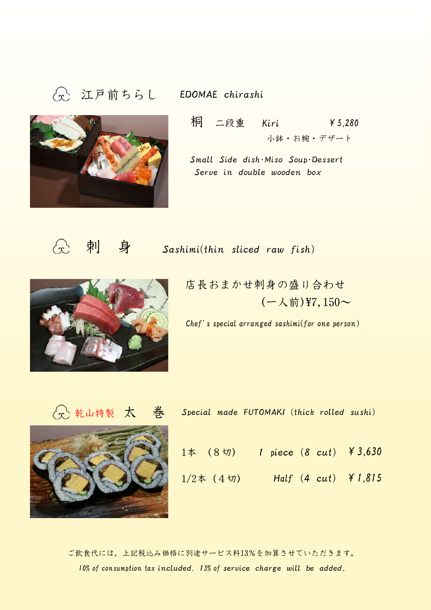# 江戸前ちらし EDOMAE chirashi





- 桐 二段重 Kiri ¥5,280 小鉢・お椀・デザート
- Small Side dish・Miso Soup・Dessert Serve in double wooden box

 $\odot$ 

**刺 身 Sashimi(thin sliced raw fish)** 



店長おまかせ刺身の盛り合わせ  $(-\lambda)$ 前)¥7,150~

Chef's special arranged sashimi(for one person)





| 公乾山特製 太 巻 |  |              |  | Special made FUTOMAKI (thick rolled sushi)                        |
|-----------|--|--------------|--|-------------------------------------------------------------------|
|           |  |              |  | $1\,\text{\AA}$ $(8\,\text{m})$ 1 piece $(8\,\text{cut})$ ¥ 3,630 |
|           |  | $1/2$ 本 (4切) |  | $Half (4 cut)$ $\neq 1,815$                                       |

ご飲食代には、上記税込み価格に別途サービス料13%を加算させていただきます。 10% of consumption tax included. 13% of service charge will be added.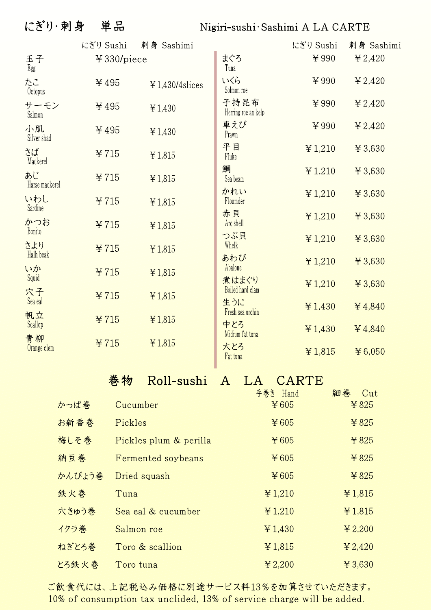### にぎり·刺身 単品

### Nigiri-sushi Sashimi A LA CARTE

|                      | にぎり Sushi  | 刺身 Sashimi         |                             | にぎり Sushi | 刺身 Sashimi |
|----------------------|------------|--------------------|-----------------------------|-----------|------------|
| 玉子<br>Egg            | ¥330/piece |                    | まぐろ<br>Tuna                 | ¥990      | ¥ 2,420    |
| たこ<br>Octopus        | ¥495       | $¥ 1,430/4$ slices | いくら<br>Solmon roe           | ¥990      | ¥ 2,420    |
| サーモン<br>Salmon       | ¥495       | ¥ 1,430            | 子持昆布<br>Herring roe an kelp | ¥990      | ¥ 2,420    |
| 小肌<br>Silver shad    | ¥495       | ¥ 1,430            | 車えび<br>Prawn                | ¥990      | ¥ 2,420    |
| さば<br>Mackerel       | ¥715       | ¥ 1,815            | 平目<br>Fluke                 | ¥ 1,210   | ¥ 3,630    |
| あじ<br>Harse mackerel | ¥715       | ¥ 1,815            | 鯛<br>Sea beam               | ¥ 1,210   | ¥ 3,630    |
| いわし<br>Sardine       | ¥715       | ¥ 1,815            | かれい<br>Floumder             | ¥ 1,210   | ¥ 3,630    |
| かつお<br>Bonito        | ¥715       | ¥ 1,815            | 赤貝<br>Arc shell             | ¥ 1,210   | ¥ 3,630    |
| さより                  | ¥715       | ¥ 1,815            | つぶ貝<br>Whelk                | ¥ 1,210   | ¥ 3,630    |
| Halh beak<br>いか      | ¥715       | ¥ 1,815            | あわび<br>Abalone              | ¥ 1,210   | ¥ 3,630    |
| Squid<br>穴子          | ¥715       | ¥ 1,815            | 煮はまぐり<br>Boiled hard clam   | ¥ 1,210   | ¥ 3,630    |
| Sea eal<br>帆立        |            |                    | 生うに<br>Fresh sea urchin     | ¥ 1,430   | ¥ 4,840    |
| Scallop<br>青柳        | ¥715       | ¥ 1,815            | 中とろ<br>Midium fat tuna      | ¥ 1,430   | ¥ 4,840    |
| Orange clem          | ¥715       | ¥ 1,815            | 大とろ<br>Fat tuna             | ¥1,815    | ¥ 6,050    |

#### Roll-sushi A LA CARTE 巻物

|        |                        | 手巻き Hand | 細春<br>-Cut |
|--------|------------------------|----------|------------|
| かっぱ巻   | Cucumber               | ¥605     | ¥ 825      |
| お新香巻   | Pickles                | ¥ 605    | ¥ 825      |
| 梅しそ巻   | Pickles plum & perilla | ¥ 605    | ¥ 825      |
| 納豆巻    | Fermented soybeans     | ¥ 605    | ¥825       |
| かんぴょう巻 | Dried squash           | ¥605     | ¥ 825      |
| 鉄火巻    | Tuna                   | ¥ 1,210  | ¥ 1,815    |
| 穴きゅう巻  | Sea eal & cucumber     | ¥ 1,210  | ¥ 1,815    |
| イクラ巻   | Salmon roe             | ¥ 1,430  | ¥ 2,200    |
| ねぎとろ巻  | Toro & scallion        | ¥1,815   | ¥ 2,420    |
| とろ鉄火巻  | Toro tuna              | ¥ 2,200  | ¥ 3,630    |

ご飲食代には、上記税込み価格に別途サービス料13%を加算させていただきます。 10% of consumption tax unclided, 13% of service charge will be added.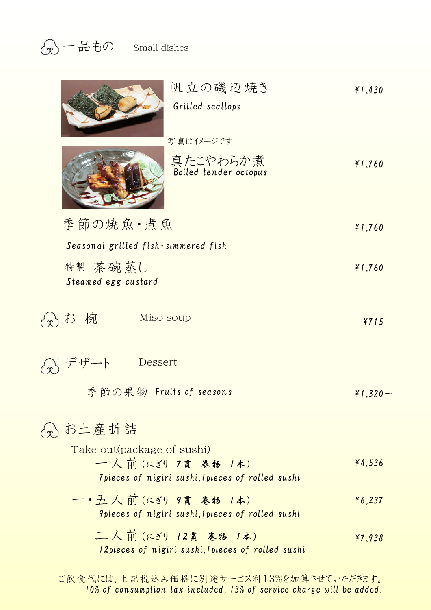| 帆立の磯辺焼き<br>Grilled scallops                                                                         | $*1,430$   |
|-----------------------------------------------------------------------------------------------------|------------|
| 写真はイメージです                                                                                           |            |
| 真たこやわらか煮<br>Boiled tender octopus                                                                   | $*1,760$   |
| 季節の焼魚・煮魚                                                                                            | $*1,760$   |
| Seasonal grilled fish simmered fish                                                                 |            |
| 特製 茶碗蒸し<br>Steamed egg custard                                                                      | $*1,760$   |
| お椀<br>Miso soup                                                                                     | ¥715       |
| Dessert<br>ザート                                                                                      |            |
| 季節の果物 Fruits of seasons                                                                             | $*1,320 -$ |
| 分 お土産折詰                                                                                             |            |
| Take out (package of sushi)<br>一人前(にぎり7貫巻物1本)<br>7 pieces of nigiri sushi, I pieces of rolled sushi | 44,536     |
| —•五人前(にぎり 9貫 巻物 1本)<br><i><b>9pieces of nigiri sushi, I pieces of rolled sushi</b></i>              | 46,237     |
| 二人前(にぎり 12貫 巻物 1本)                                                                                  | 47,938     |

12pieces of nigiri sushi,1pieces of rolled sushi

ご飲食代には、上記税込み価格に別途サービス料13%を加算させていただきます。 10% of consumption tax included, 13% of service charge will be added.